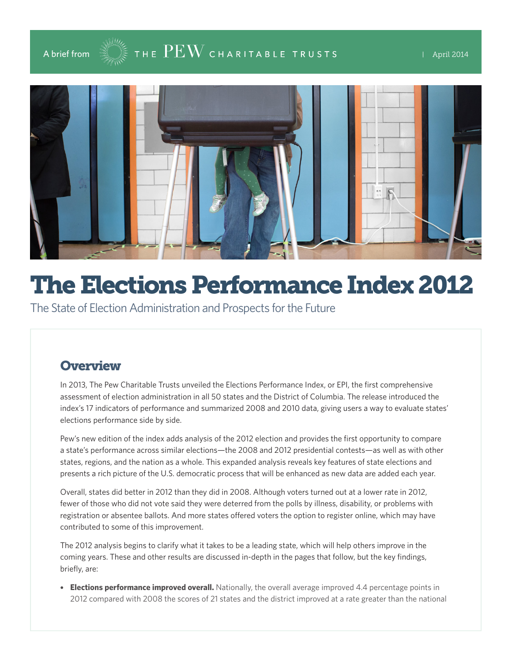



# The Elections Performance Index 2012

The State of Election Administration and Prospects for the Future

## **Overview**

In 2013, The Pew Charitable Trusts unveiled the Elections Performance Index, or EPI, the first comprehensive assessment of election administration in all 50 states and the District of Columbia. The release introduced the index's 17 indicators of performance and summarized 2008 and 2010 data, giving users a way to evaluate states' elections performance side by side.

Pew's new edition of the index adds analysis of the 2012 election and provides the first opportunity to compare a state's performance across similar elections—the 2008 and 2012 presidential contests—as well as with other states, regions, and the nation as a whole. This expanded analysis reveals key features of state elections and presents a rich picture of the U.S. democratic process that will be enhanced as new data are added each year.

Overall, states did better in 2012 than they did in 2008. Although voters turned out at a lower rate in 2012, fewer of those who did not vote said they were deterred from the polls by illness, disability, or problems with registration or absentee ballots. And more states offered voters the option to register online, which may have contributed to some of this improvement.

The 2012 analysis begins to clarify what it takes to be a leading state, which will help others improve in the coming years. These and other results are discussed in-depth in the pages that follow, but the key findings, briefly, are:

• **Elections performance improved overall.** Nationally, the overall average improved 4.4 percentage points in 2012 compared with 2008 the scores of 21 states and the district improved at a rate greater than the national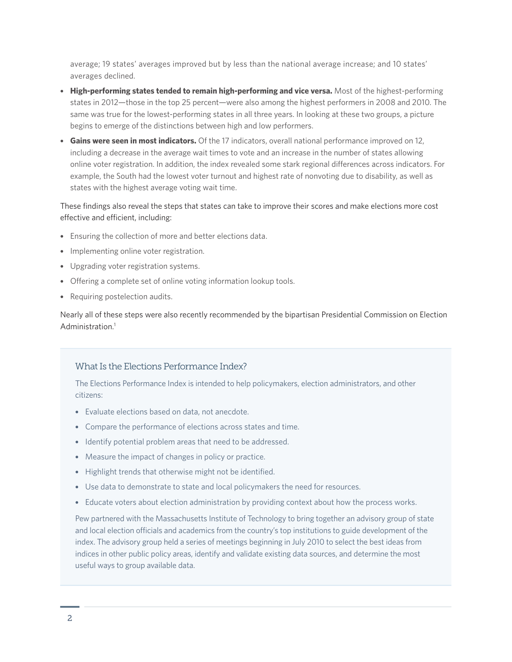average; 19 states' averages improved but by less than the national average increase; and 10 states' averages declined.

- **High-performing states tended to remain high-performing and vice versa.** Most of the highest-performing states in 2012—those in the top 25 percent—were also among the highest performers in 2008 and 2010. The same was true for the lowest-performing states in all three years. In looking at these two groups, a picture begins to emerge of the distinctions between high and low performers.
- **Gains were seen in most indicators.** Of the 17 indicators, overall national performance improved on 12, including a decrease in the average wait times to vote and an increase in the number of states allowing online voter registration. In addition, the index revealed some stark regional differences across indicators. For example, the South had the lowest voter turnout and highest rate of nonvoting due to disability, as well as states with the highest average voting wait time.

#### These findings also reveal the steps that states can take to improve their scores and make elections more cost effective and efficient, including:

- Ensuring the collection of more and better elections data.
- Implementing online voter registration.
- Upgrading voter registration systems.
- Offering a complete set of online voting information lookup tools.
- Requiring postelection audits.

Nearly all of these steps were also recently recommended by the bipartisan Presidential Commission on Election Administration.<sup>1</sup>

#### What Is the Elections Performance Index?

The Elections Performance Index is intended to help policymakers, election administrators, and other citizens:

- Evaluate elections based on data, not anecdote.
- Compare the performance of elections across states and time.
- Identify potential problem areas that need to be addressed.
- Measure the impact of changes in policy or practice.
- Highlight trends that otherwise might not be identified.
- Use data to demonstrate to state and local policymakers the need for resources.
- Educate voters about election administration by providing context about how the process works.

Pew partnered with the Massachusetts Institute of Technology to bring together an advisory group of state and local election officials and academics from the country's top institutions to guide development of the index. The advisory group held a series of meetings beginning in July 2010 to select the best ideas from indices in other public policy areas, identify and validate existing data sources, and determine the most useful ways to group available data.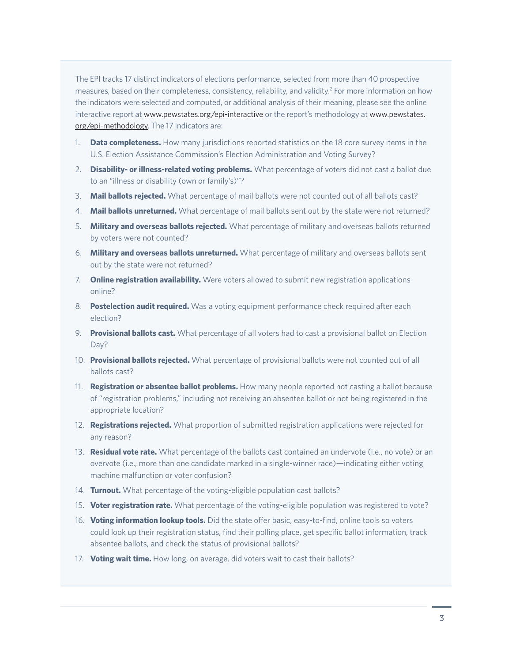The EPI tracks 17 distinct indicators of elections performance, selected from more than 40 prospective measures, based on their completeness, consistency, reliability, and validity.<sup>2</sup> For more information on how the indicators were selected and computed, or additional analysis of their meaning, please see the online interactive report at<www.pewstates.org/epi-interactive>or the report's methodology at [www.pewstates.](www.pewstates.org/epi-methodology) [org/epi-methodology.](www.pewstates.org/epi-methodology) The 17 indicators are:

- 1. **Data completeness.** How many jurisdictions reported statistics on the 18 core survey items in the U.S. Election Assistance Commission's Election Administration and Voting Survey?
- 2. **Disability- or illness-related voting problems.** What percentage of voters did not cast a ballot due to an "illness or disability (own or family's)"?
- 3. **Mail ballots rejected.** What percentage of mail ballots were not counted out of all ballots cast?
- 4. **Mail ballots unreturned.** What percentage of mail ballots sent out by the state were not returned?
- 5. **Military and overseas ballots rejected.** What percentage of military and overseas ballots returned by voters were not counted?
- 6. **Military and overseas ballots unreturned.** What percentage of military and overseas ballots sent out by the state were not returned?
- 7. **Online registration availability.** Were voters allowed to submit new registration applications online?
- 8. **Postelection audit required.** Was a voting equipment performance check required after each election?
- 9. **Provisional ballots cast.** What percentage of all voters had to cast a provisional ballot on Election Day?
- 10. **Provisional ballots rejected.** What percentage of provisional ballots were not counted out of all ballots cast?
- 11. **Registration or absentee ballot problems.** How many people reported not casting a ballot because of "registration problems," including not receiving an absentee ballot or not being registered in the appropriate location?
- 12. **Registrations rejected.** What proportion of submitted registration applications were rejected for any reason?
- 13. **Residual vote rate.** What percentage of the ballots cast contained an undervote (i.e., no vote) or an overvote (i.e., more than one candidate marked in a single-winner race)—indicating either voting machine malfunction or voter confusion?
- 14. **Turnout.** What percentage of the voting-eligible population cast ballots?
- 15. **Voter registration rate.** What percentage of the voting-eligible population was registered to vote?
- 16. **Voting information lookup tools.** Did the state offer basic, easy-to-find, online tools so voters could look up their registration status, find their polling place, get specific ballot information, track absentee ballots, and check the status of provisional ballots?
- 17. **Voting wait time.** How long, on average, did voters wait to cast their ballots?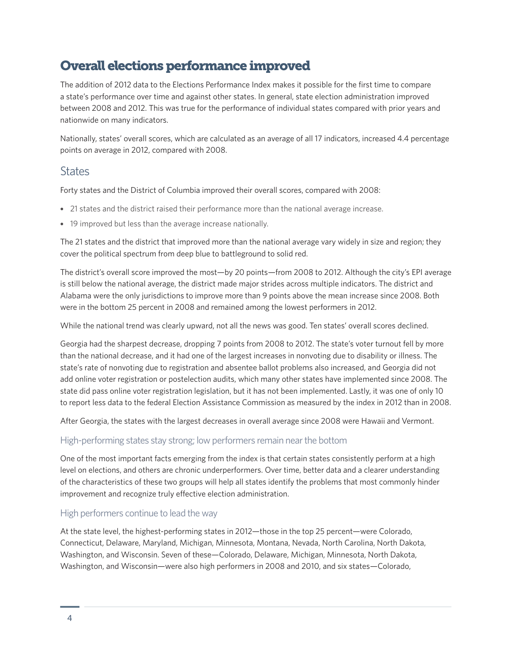# Overall elections performance improved

The addition of 2012 data to the Elections Performance Index makes it possible for the first time to compare a state's performance over time and against other states. In general, state election administration improved between 2008 and 2012. This was true for the performance of individual states compared with prior years and nationwide on many indicators.

Nationally, states' overall scores, which are calculated as an average of all 17 indicators, increased 4.4 percentage points on average in 2012, compared with 2008.

## **States**

Forty states and the District of Columbia improved their overall scores, compared with 2008:

- 21 states and the district raised their performance more than the national average increase.
- 19 improved but less than the average increase nationally.

The 21 states and the district that improved more than the national average vary widely in size and region; they cover the political spectrum from deep blue to battleground to solid red.

The district's overall score improved the most—by 20 points—from 2008 to 2012. Although the city's EPI average is still below the national average, the district made major strides across multiple indicators. The district and Alabama were the only jurisdictions to improve more than 9 points above the mean increase since 2008. Both were in the bottom 25 percent in 2008 and remained among the lowest performers in 2012.

While the national trend was clearly upward, not all the news was good. Ten states' overall scores declined.

Georgia had the sharpest decrease, dropping 7 points from 2008 to 2012. The state's voter turnout fell by more than the national decrease, and it had one of the largest increases in nonvoting due to disability or illness. The state's rate of nonvoting due to registration and absentee ballot problems also increased, and Georgia did not add online voter registration or postelection audits, which many other states have implemented since 2008. The state did pass online voter registration legislation, but it has not been implemented. Lastly, it was one of only 10 to report less data to the federal Election Assistance Commission as measured by the index in 2012 than in 2008.

After Georgia, the states with the largest decreases in overall average since 2008 were Hawaii and Vermont.

#### High-performing states stay strong; low performers remain near the bottom

One of the most important facts emerging from the index is that certain states consistently perform at a high level on elections, and others are chronic underperformers. Over time, better data and a clearer understanding of the characteristics of these two groups will help all states identify the problems that most commonly hinder improvement and recognize truly effective election administration.

#### High performers continue to lead the way

At the state level, the highest-performing states in 2012—those in the top 25 percent—were Colorado, Connecticut, Delaware, Maryland, Michigan, Minnesota, Montana, Nevada, North Carolina, North Dakota, Washington, and Wisconsin. Seven of these—Colorado, Delaware, Michigan, Minnesota, North Dakota, Washington, and Wisconsin—were also high performers in 2008 and 2010, and six states—Colorado,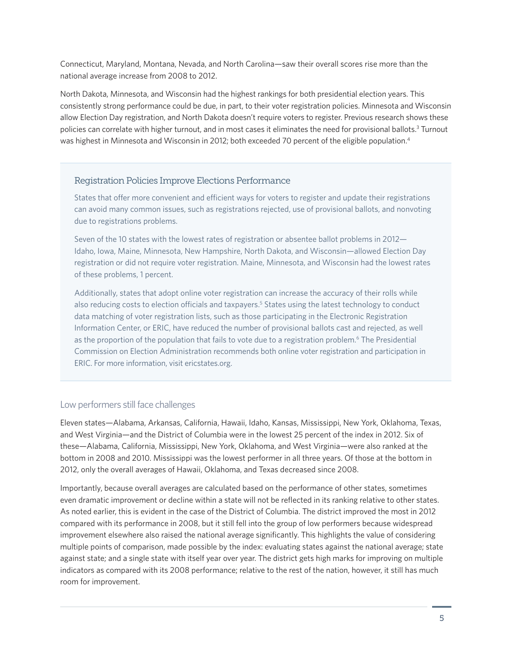Connecticut, Maryland, Montana, Nevada, and North Carolina—saw their overall scores rise more than the national average increase from 2008 to 2012.

North Dakota, Minnesota, and Wisconsin had the highest rankings for both presidential election years. This consistently strong performance could be due, in part, to their voter registration policies. Minnesota and Wisconsin allow Election Day registration, and North Dakota doesn't require voters to register. Previous research shows these policies can correlate with higher turnout, and in most cases it eliminates the need for provisional ballots.<sup>3</sup> Turnout was highest in Minnesota and Wisconsin in 2012; both exceeded 70 percent of the eligible population.<sup>4</sup>

#### Registration Policies Improve Elections Performance

States that offer more convenient and efficient ways for voters to register and update their registrations can avoid many common issues, such as registrations rejected, use of provisional ballots, and nonvoting due to registrations problems.

Seven of the 10 states with the lowest rates of registration or absentee ballot problems in 2012— Idaho, Iowa, Maine, Minnesota, New Hampshire, North Dakota, and Wisconsin—allowed Election Day registration or did not require voter registration. Maine, Minnesota, and Wisconsin had the lowest rates of these problems, 1 percent.

Additionally, states that adopt online voter registration can increase the accuracy of their rolls while also reducing costs to election officials and taxpayers.<sup>5</sup> States using the latest technology to conduct data matching of voter registration lists, such as those participating in the Electronic Registration Information Center, or ERIC, have reduced the number of provisional ballots cast and rejected, as well as the proportion of the population that fails to vote due to a registration problem.<sup>6</sup> The Presidential Commission on Election Administration recommends both online voter registration and participation in ERIC. For more information, visit ericstates.org.

#### Low performers still face challenges

Eleven states—Alabama, Arkansas, California, Hawaii, Idaho, Kansas, Mississippi, New York, Oklahoma, Texas, and West Virginia—and the District of Columbia were in the lowest 25 percent of the index in 2012. Six of these—Alabama, California, Mississippi, New York, Oklahoma, and West Virginia—were also ranked at the bottom in 2008 and 2010. Mississippi was the lowest performer in all three years. Of those at the bottom in 2012, only the overall averages of Hawaii, Oklahoma, and Texas decreased since 2008.

Importantly, because overall averages are calculated based on the performance of other states, sometimes even dramatic improvement or decline within a state will not be reflected in its ranking relative to other states. As noted earlier, this is evident in the case of the District of Columbia. The district improved the most in 2012 compared with its performance in 2008, but it still fell into the group of low performers because widespread improvement elsewhere also raised the national average significantly. This highlights the value of considering multiple points of comparison, made possible by the index: evaluating states against the national average; state against state; and a single state with itself year over year. The district gets high marks for improving on multiple indicators as compared with its 2008 performance; relative to the rest of the nation, however, it still has much room for improvement.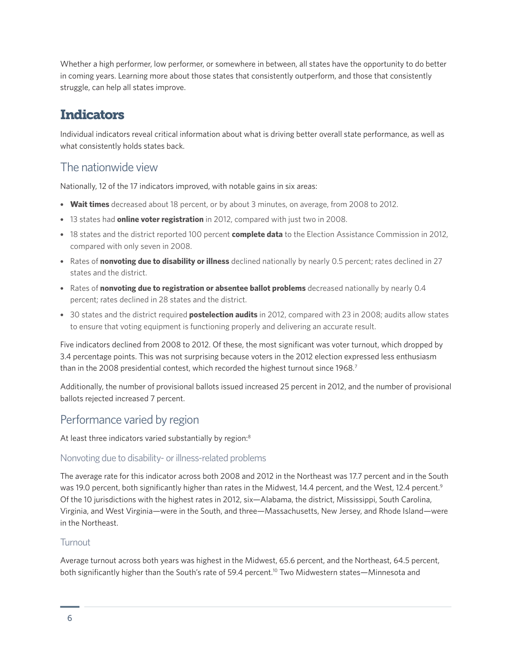Whether a high performer, low performer, or somewhere in between, all states have the opportunity to do better in coming years. Learning more about those states that consistently outperform, and those that consistently struggle, can help all states improve.

# **Indicators**

Individual indicators reveal critical information about what is driving better overall state performance, as well as what consistently holds states back.

## The nationwide view

Nationally, 12 of the 17 indicators improved, with notable gains in six areas:

- **Wait times** decreased about 18 percent, or by about 3 minutes, on average, from 2008 to 2012.
- 13 states had **online voter registration** in 2012, compared with just two in 2008.
- 18 states and the district reported 100 percent **complete data** to the Election Assistance Commission in 2012, compared with only seven in 2008.
- Rates of **nonvoting due to disability or illness** declined nationally by nearly 0.5 percent; rates declined in 27 states and the district.
- Rates of **nonvoting due to registration or absentee ballot problems** decreased nationally by nearly 0.4 percent; rates declined in 28 states and the district.
- 30 states and the district required **postelection audits** in 2012, compared with 23 in 2008; audits allow states to ensure that voting equipment is functioning properly and delivering an accurate result.

Five indicators declined from 2008 to 2012. Of these, the most significant was voter turnout, which dropped by 3.4 percentage points. This was not surprising because voters in the 2012 election expressed less enthusiasm than in the 2008 presidential contest, which recorded the highest turnout since 1968.<sup>7</sup>

Additionally, the number of provisional ballots issued increased 25 percent in 2012, and the number of provisional ballots rejected increased 7 percent.

# Performance varied by region

At least three indicators varied substantially by region:<sup>8</sup>

## Nonvoting due to disability- or illness-related problems

The average rate for this indicator across both 2008 and 2012 in the Northeast was 17.7 percent and in the South was 19.0 percent, both significantly higher than rates in the Midwest, 14.4 percent, and the West, 12.4 percent.<sup>9</sup> Of the 10 jurisdictions with the highest rates in 2012, six—Alabama, the district, Mississippi, South Carolina, Virginia, and West Virginia—were in the South, and three—Massachusetts, New Jersey, and Rhode Island—were in the Northeast.

## **Turnout**

Average turnout across both years was highest in the Midwest, 65.6 percent, and the Northeast, 64.5 percent, both significantly higher than the South's rate of 59.4 percent.<sup>10</sup> Two Midwestern states—Minnesota and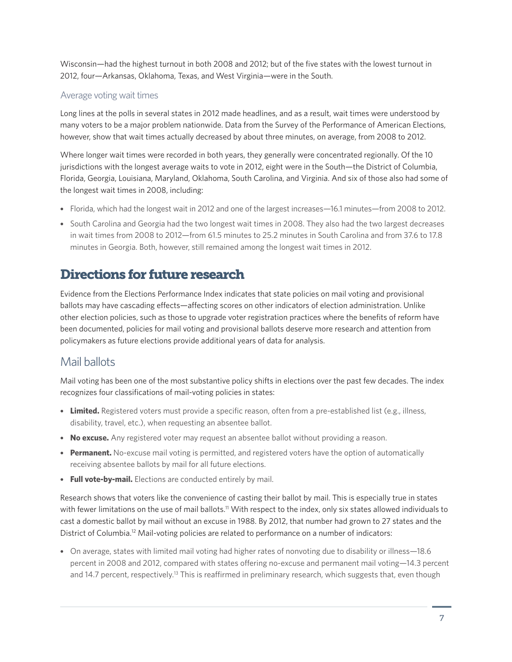Wisconsin—had the highest turnout in both 2008 and 2012; but of the five states with the lowest turnout in 2012, four—Arkansas, Oklahoma, Texas, and West Virginia—were in the South.

#### Average voting wait times

Long lines at the polls in several states in 2012 made headlines, and as a result, wait times were understood by many voters to be a major problem nationwide. Data from the Survey of the Performance of American Elections, however, show that wait times actually decreased by about three minutes, on average, from 2008 to 2012.

Where longer wait times were recorded in both years, they generally were concentrated regionally. Of the 10 jurisdictions with the longest average waits to vote in 2012, eight were in the South—the District of Columbia, Florida, Georgia, Louisiana, Maryland, Oklahoma, South Carolina, and Virginia. And six of those also had some of the longest wait times in 2008, including:

- Florida, which had the longest wait in 2012 and one of the largest increases—16.1 minutes—from 2008 to 2012.
- South Carolina and Georgia had the two longest wait times in 2008. They also had the two largest decreases in wait times from 2008 to 2012—from 61.5 minutes to 25.2 minutes in South Carolina and from 37.6 to 17.8 minutes in Georgia. Both, however, still remained among the longest wait times in 2012.

# Directions for future research

Evidence from the Elections Performance Index indicates that state policies on mail voting and provisional ballots may have cascading effects—affecting scores on other indicators of election administration. Unlike other election policies, such as those to upgrade voter registration practices where the benefits of reform have been documented, policies for mail voting and provisional ballots deserve more research and attention from policymakers as future elections provide additional years of data for analysis.

# Mail ballots

Mail voting has been one of the most substantive policy shifts in elections over the past few decades. The index recognizes four classifications of mail-voting policies in states:

- **Limited.** Registered voters must provide a specific reason, often from a pre-established list (e.g., illness, disability, travel, etc.), when requesting an absentee ballot.
- **No excuse.** Any registered voter may request an absentee ballot without providing a reason.
- **Permanent.** No-excuse mail voting is permitted, and registered voters have the option of automatically receiving absentee ballots by mail for all future elections.
- **Full vote-by-mail.** Elections are conducted entirely by mail.

Research shows that voters like the convenience of casting their ballot by mail. This is especially true in states with fewer limitations on the use of mail ballots.<sup>11</sup> With respect to the index, only six states allowed individuals to cast a domestic ballot by mail without an excuse in 1988. By 2012, that number had grown to 27 states and the District of Columbia.<sup>12</sup> Mail-voting policies are related to performance on a number of indicators:

• On average, states with limited mail voting had higher rates of nonvoting due to disability or illness—18.6 percent in 2008 and 2012, compared with states offering no-excuse and permanent mail voting—14.3 percent and 14.7 percent, respectively.<sup>13</sup> This is reaffirmed in preliminary research, which suggests that, even though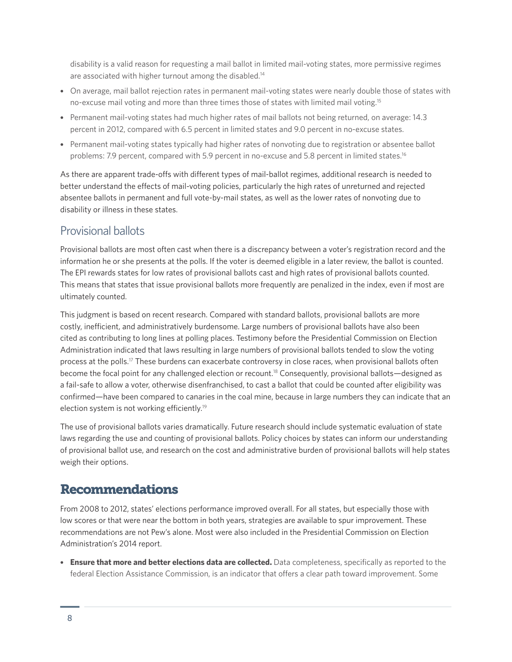disability is a valid reason for requesting a mail ballot in limited mail-voting states, more permissive regimes are associated with higher turnout among the disabled.14

- On average, mail ballot rejection rates in permanent mail-voting states were nearly double those of states with no-excuse mail voting and more than three times those of states with limited mail voting.<sup>15</sup>
- Permanent mail-voting states had much higher rates of mail ballots not being returned, on average: 14.3 percent in 2012, compared with 6.5 percent in limited states and 9.0 percent in no-excuse states.
- Permanent mail-voting states typically had higher rates of nonvoting due to registration or absentee ballot problems: 7.9 percent, compared with 5.9 percent in no-excuse and 5.8 percent in limited states.<sup>16</sup>

As there are apparent trade-offs with different types of mail-ballot regimes, additional research is needed to better understand the effects of mail-voting policies, particularly the high rates of unreturned and rejected absentee ballots in permanent and full vote-by-mail states, as well as the lower rates of nonvoting due to disability or illness in these states.

## Provisional ballots

Provisional ballots are most often cast when there is a discrepancy between a voter's registration record and the information he or she presents at the polls. If the voter is deemed eligible in a later review, the ballot is counted. The EPI rewards states for low rates of provisional ballots cast and high rates of provisional ballots counted. This means that states that issue provisional ballots more frequently are penalized in the index, even if most are ultimately counted.

This judgment is based on recent research. Compared with standard ballots, provisional ballots are more costly, inefficient, and administratively burdensome. Large numbers of provisional ballots have also been cited as contributing to long lines at polling places. Testimony before the Presidential Commission on Election Administration indicated that laws resulting in large numbers of provisional ballots tended to slow the voting process at the polls.17 These burdens can exacerbate controversy in close races, when provisional ballots often become the focal point for any challenged election or recount.<sup>18</sup> Consequently, provisional ballots—designed as a fail-safe to allow a voter, otherwise disenfranchised, to cast a ballot that could be counted after eligibility was confirmed—have been compared to canaries in the coal mine, because in large numbers they can indicate that an election system is not working efficiently.19

The use of provisional ballots varies dramatically. Future research should include systematic evaluation of state laws regarding the use and counting of provisional ballots. Policy choices by states can inform our understanding of provisional ballot use, and research on the cost and administrative burden of provisional ballots will help states weigh their options.

## Recommendations

From 2008 to 2012, states' elections performance improved overall. For all states, but especially those with low scores or that were near the bottom in both years, strategies are available to spur improvement. These recommendations are not Pew's alone. Most were also included in the Presidential Commission on Election Administration's 2014 report.

• **Ensure that more and better elections data are collected.** Data completeness, specifically as reported to the federal Election Assistance Commission, is an indicator that offers a clear path toward improvement. Some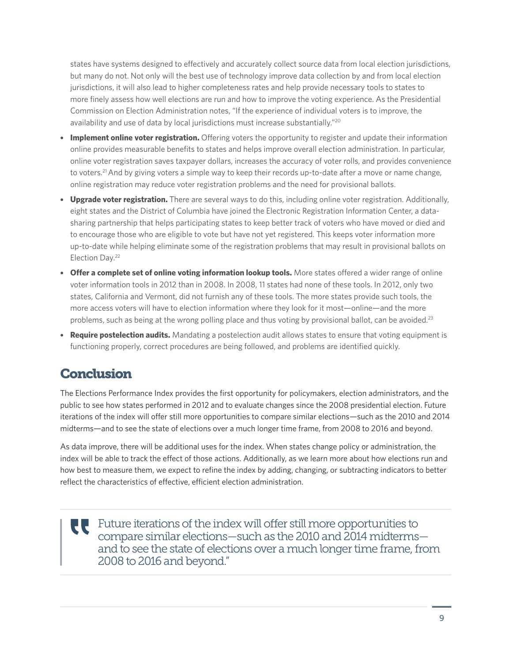states have systems designed to effectively and accurately collect source data from local election jurisdictions, but many do not. Not only will the best use of technology improve data collection by and from local election jurisdictions, it will also lead to higher completeness rates and help provide necessary tools to states to more finely assess how well elections are run and how to improve the voting experience. As the Presidential Commission on Election Administration notes, "If the experience of individual voters is to improve, the availability and use of data by local jurisdictions must increase substantially."<sup>20</sup>

- **Implement online voter registration.** Offering voters the opportunity to register and update their information online provides measurable benefits to states and helps improve overall election administration. In particular, online voter registration saves taxpayer dollars, increases the accuracy of voter rolls, and provides convenience to voters.21 And by giving voters a simple way to keep their records up-to-date after a move or name change, online registration may reduce voter registration problems and the need for provisional ballots.
- **Upgrade voter registration.** There are several ways to do this, including online voter registration. Additionally, eight states and the District of Columbia have joined the Electronic Registration Information Center, a datasharing partnership that helps participating states to keep better track of voters who have moved or died and to encourage those who are eligible to vote but have not yet registered. This keeps voter information more up-to-date while helping eliminate some of the registration problems that may result in provisional ballots on Election Day.22
- **Offer a complete set of online voting information lookup tools.** More states offered a wider range of online voter information tools in 2012 than in 2008. In 2008, 11 states had none of these tools. In 2012, only two states, California and Vermont, did not furnish any of these tools. The more states provide such tools, the more access voters will have to election information where they look for it most—online—and the more problems, such as being at the wrong polling place and thus voting by provisional ballot, can be avoided.<sup>23</sup>
- **Require postelection audits.** Mandating a postelection audit allows states to ensure that voting equipment is functioning properly, correct procedures are being followed, and problems are identified quickly.

# **Conclusion**

The Elections Performance Index provides the first opportunity for policymakers, election administrators, and the public to see how states performed in 2012 and to evaluate changes since the 2008 presidential election. Future iterations of the index will offer still more opportunities to compare similar elections—such as the 2010 and 2014 midterms—and to see the state of elections over a much longer time frame, from 2008 to 2016 and beyond.

As data improve, there will be additional uses for the index. When states change policy or administration, the index will be able to track the effect of those actions. Additionally, as we learn more about how elections run and how best to measure them, we expect to refine the index by adding, changing, or subtracting indicators to better reflect the characteristics of effective, efficient election administration.

Future iterations of the index will offer still more opportunities to UU compare similar elections—such as the 2010 and 2014 midterms and to see the state of elections over a much longer time frame, from 2008 to 2016 and beyond."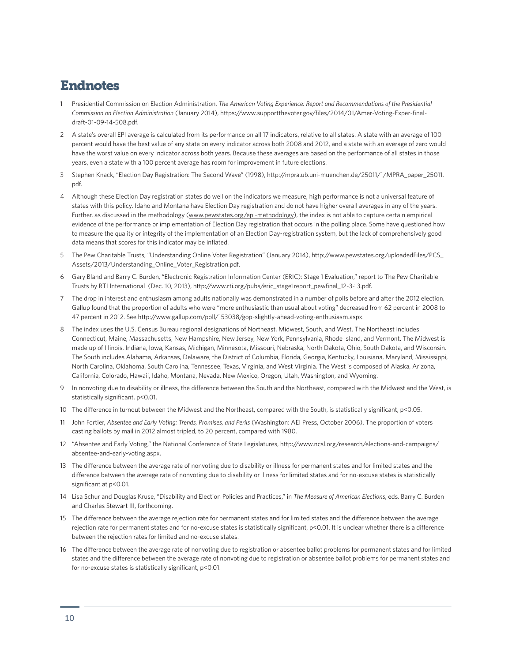## Endnotes

- 1 Presidential Commission on Election Administration, *The American Voting Experience: Report and Recommendations of the Presidential Commission on Election Administration* (January 2014), https://www.supportthevoter.gov/files/2014/01/Amer-Voting-Exper-finaldraft-01-09-14-508.pdf.
- 2 A state's overall EPI average is calculated from its performance on all 17 indicators, relative to all states. A state with an average of 100 percent would have the best value of any state on every indicator across both 2008 and 2012, and a state with an average of zero would have the worst value on every indicator across both years. Because these averages are based on the performance of all states in those years, even a state with a 100 percent average has room for improvement in future elections.
- 3 Stephen Knack, "Election Day Registration: The Second Wave" (1998), http://mpra.ub.uni-muenchen.de/25011/1/MPRA\_paper\_25011. pdf.
- 4 Although these Election Day registration states do well on the indicators we measure, high performance is not a universal feature of states with this policy. Idaho and Montana have Election Day registration and do not have higher overall averages in any of the years. Further, as discussed in the methodology ([www.pewstates.org/epi-methodology](http://www.pewstates.org/epi-methodology)), the index is not able to capture certain empirical evidence of the performance or implementation of Election Day registration that occurs in the polling place. Some have questioned how to measure the quality or integrity of the implementation of an Election Day-registration system, but the lack of comprehensively good data means that scores for this indicator may be inflated.
- 5 The Pew Charitable Trusts, "Understanding Online Voter Registration" (January 2014), http://www.pewstates.org/uploadedFiles/PCS\_ Assets/2013/Understanding Online Voter Registration.pdf.
- 6 Gary Bland and Barry C. Burden, "Electronic Registration Information Center (ERIC): Stage 1 Evaluation," report to The Pew Charitable Trusts by RTI International (Dec. 10, 2013), http://www.rti.org/pubs/eric\_stage1report\_pewfinal\_12-3-13.pdf.
- 7 The drop in interest and enthusiasm among adults nationally was demonstrated in a number of polls before and after the 2012 election. Gallup found that the proportion of adults who were "more enthusiastic than usual about voting" decreased from 62 percent in 2008 to 47 percent in 2012. See http://www.gallup.com/poll/153038/gop-slightly-ahead-voting-enthusiasm.aspx.
- 8 The index uses the U.S. Census Bureau regional designations of Northeast, Midwest, South, and West. The Northeast includes Connecticut, Maine, Massachusetts, New Hampshire, New Jersey, New York, Pennsylvania, Rhode Island, and Vermont. The Midwest is made up of Illinois, Indiana, Iowa, Kansas, Michigan, Minnesota, Missouri, Nebraska, North Dakota, Ohio, South Dakota, and Wisconsin. The South includes Alabama, Arkansas, Delaware, the District of Columbia, Florida, Georgia, Kentucky, Louisiana, Maryland, Mississippi, North Carolina, Oklahoma, South Carolina, Tennessee, Texas, Virginia, and West Virginia. The West is composed of Alaska, Arizona, California, Colorado, Hawaii, Idaho, Montana, Nevada, New Mexico, Oregon, Utah, Washington, and Wyoming.
- 9 In nonvoting due to disability or illness, the difference between the South and the Northeast, compared with the Midwest and the West, is statistically significant, p<0.01.
- 10 The difference in turnout between the Midwest and the Northeast, compared with the South, is statistically significant, p<0.05.
- 11 John Fortier, *Absentee and Early Voting: Trends, Promises, and Perils* (Washington: AEI Press, October 2006). The proportion of voters casting ballots by mail in 2012 almost tripled, to 20 percent, compared with 1980.
- 12 "Absentee and Early Voting," the National Conference of State Legislatures, http://www.ncsl.org/research/elections-and-campaigns/ absentee-and-early-voting.aspx.
- 13 The difference between the average rate of nonvoting due to disability or illness for permanent states and for limited states and the difference between the average rate of nonvoting due to disability or illness for limited states and for no-excuse states is statistically significant at p<0.01.
- 14 Lisa Schur and Douglas Kruse, "Disability and Election Policies and Practices," in *The Measure of American Elections*, eds. Barry C. Burden and Charles Stewart III, forthcoming.
- 15 The difference between the average rejection rate for permanent states and for limited states and the difference between the average rejection rate for permanent states and for no-excuse states is statistically significant, p<0.01. It is unclear whether there is a difference between the rejection rates for limited and no-excuse states.
- 16 The difference between the average rate of nonvoting due to registration or absentee ballot problems for permanent states and for limited states and the difference between the average rate of nonvoting due to registration or absentee ballot problems for permanent states and for no-excuse states is statistically significant, p<0.01.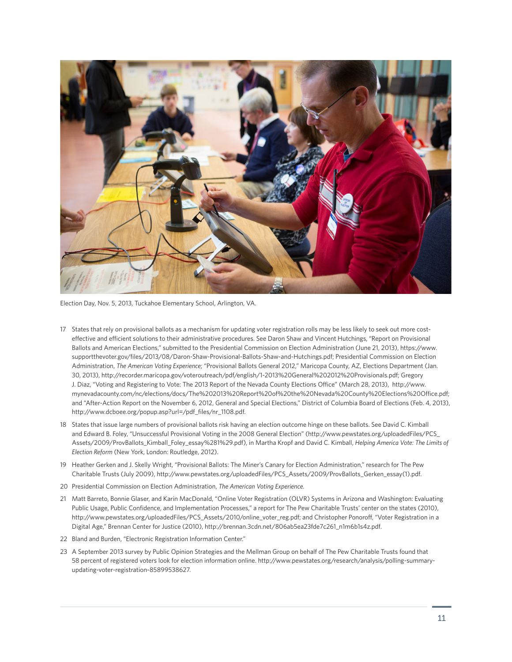

Election Day, Nov. 5, 2013, Tuckahoe Elementary School, Arlington, VA.

- 17 States that rely on provisional ballots as a mechanism for updating voter registration rolls may be less likely to seek out more costeffective and efficient solutions to their administrative procedures. See Daron Shaw and Vincent Hutchings, "Report on Provisional Ballots and American Elections," submitted to the Presidential Commission on Election Administration (June 21, 2013), https://www. supportthevoter.gov/files/2013/08/Daron-Shaw-Provisional-Ballots-Shaw-and-Hutchings.pdf; Presidential Commission on Election Administration, *The American Voting Experience*; "Provisional Ballots General 2012," Maricopa County, AZ, Elections Department (Jan. 30, 2013), http://recorder.maricopa.gov/voteroutreach/pdf/english/1-2013%20General%202012%20Provisionals.pdf; Gregory J. Diaz, "Voting and Registering to Vote: The 2013 Report of the Nevada County Elections Office" (March 28, 2013), http://www. mynevadacounty.com/nc/elections/docs/The%202013%20Report%20of%20the%20Nevada%20County%20Elections%20Office.pdf; and "After-Action Report on the November 6, 2012, General and Special Elections," District of Columbia Board of Elections (Feb. 4, 2013), http://www.dcboee.org/popup.asp?url=/pdf\_files/nr\_1108.pdf.
- 18 States that issue large numbers of provisional ballots risk having an election outcome hinge on these ballots. See David C. Kimball and Edward B. Foley, "Unsuccessful Provisional Voting in the 2008 General Election" (http://www.pewstates.org/uploadedFiles/PCS\_ Assets/2009/ProvBallots\_Kimball\_Foley\_essay%281%29.pdf), in Martha Kropf and David C. Kimball, *Helping America Vote: The Limits of Election Reform* (New York, London: Routledge, 2012).
- 19 Heather Gerken and J. Skelly Wright, "Provisional Ballots: The Miner's Canary for Election Administration," research for The Pew Charitable Trusts (July 2009), http://www.pewstates.org/uploadedFiles/PCS\_Assets/2009/ProvBallots\_Gerken\_essay(1).pdf.
- 20 Presidential Commission on Election Administration, *The American Voting Experience.*
- 21 Matt Barreto, Bonnie Glaser, and Karin MacDonald, "Online Voter Registration (OLVR) Systems in Arizona and Washington: Evaluating Public Usage, Public Confidence, and Implementation Processes," a report for The Pew Charitable Trusts' center on the states (2010), http://www.pewstates.org/uploadedFiles/PCS\_Assets/2010/online\_voter\_reg.pdf; and Christopher Ponoroff, "Voter Registration in a Digital Age," Brennan Center for Justice (2010), http://brennan.3cdn.net/806ab5ea23fde7c261\_n1m6b1s4z.pdf.
- 22 Bland and Burden, "Electronic Registration Information Center."
- 23 A September 2013 survey by Public Opinion Strategies and the Mellman Group on behalf of The Pew Charitable Trusts found that 58 percent of registered voters look for election information online. http://www.pewstates.org/research/analysis/polling-summaryupdating-voter-registration-85899538627.